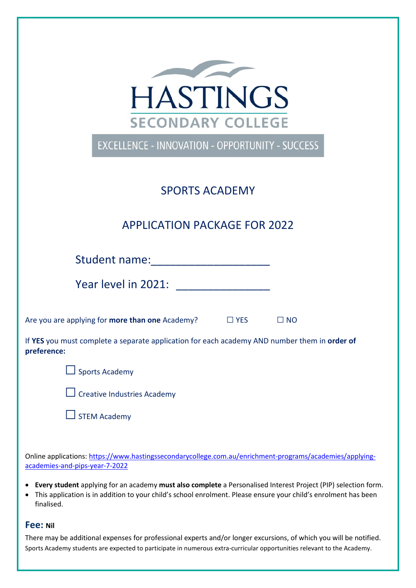

EXCELLENCE - INNOVATION - OPPORTUNITY - SUCCESS

## SPORTS ACADEMY

# APPLICATION PACKAGE FOR 2022

Student name:\_\_\_\_\_\_\_\_\_\_\_\_\_\_\_\_\_\_\_

Year level in 2021:

Are you are applying for **more than one** Academy? □ YES □ NO

If **YES** you must complete a separate application for each academy AND number them in **order of preference:**





 $\Box$  Creative Industries Academy



Online applications: [https://www.hastingssecondarycollege.com.au/enrichment-programs/academies/applying](https://www.hastingssecondarycollege.com.au/enrichment-programs/academies/applying-academies-and-pips-year-7-2022)[academies-and-pips-year-7-2022](https://www.hastingssecondarycollege.com.au/enrichment-programs/academies/applying-academies-and-pips-year-7-2022)

- **Every student** applying for an academy **must also complete** a Personalised Interest Project (PIP) selection form.
- This application is in addition to your child's school enrolment. Please ensure your child's enrolment has been finalised.

#### **Fee: Nil**

There may be additional expenses for professional experts and/or longer excursions, of which you will be notified. Sports Academy students are expected to participate in numerous extra-curricular opportunities relevant to the Academy.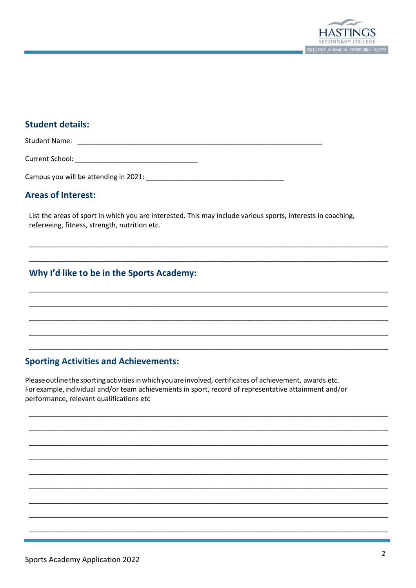

#### **Student details:**

Student Name: 

#### **Areas of Interest:**

List the areas of sport in which you are interested. This may include various sports, interests in coaching, refereeing, fitness, strength, nutrition etc.

## Why I'd like to be in the Sports Academy:

## **Sporting Activities and Achievements:**

Please outline the sporting activities in which you are involved, certificates of achievement, awards etc. For example, individual and/or team achievements in sport, record of representative attainment and/or performance, relevant qualifications etc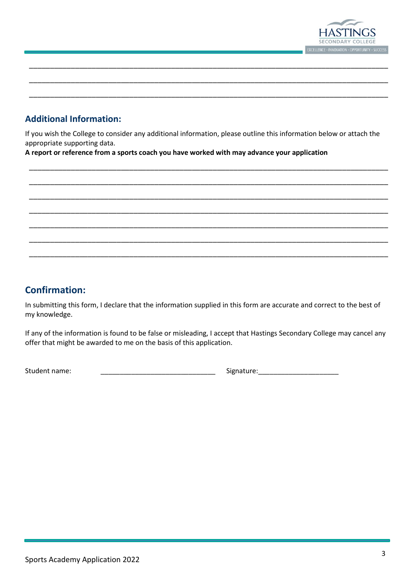

## **Additional Information:**

If you wish the College to consider any additional information, please outline this information below or attach the appropriate supporting data.

\_\_\_\_\_\_\_\_\_\_\_\_\_\_\_\_\_\_\_\_\_\_\_\_\_\_\_\_\_\_\_\_\_\_\_\_\_\_\_\_\_\_\_\_\_\_\_\_\_\_\_\_\_\_\_\_\_\_\_\_\_\_\_\_\_\_\_\_\_\_\_\_\_\_\_\_\_\_\_\_\_\_\_\_\_\_

\_\_\_\_\_\_\_\_\_\_\_\_\_\_\_\_\_\_\_\_\_\_\_\_\_\_\_\_\_\_\_\_\_\_\_\_\_\_\_\_\_\_\_\_\_\_\_\_\_\_\_\_\_\_\_\_\_\_\_\_\_\_\_\_\_\_\_\_\_\_\_\_\_\_\_\_\_\_\_\_\_\_\_\_\_\_

\_\_\_\_\_\_\_\_\_\_\_\_\_\_\_\_\_\_\_\_\_\_\_\_\_\_\_\_\_\_\_\_\_\_\_\_\_\_\_\_\_\_\_\_\_\_\_\_\_\_\_\_\_\_\_\_\_\_\_\_\_\_\_\_\_\_\_\_\_\_\_\_\_\_\_\_\_\_\_\_\_\_\_\_\_\_

\_\_\_\_\_\_\_\_\_\_\_\_\_\_\_\_\_\_\_\_\_\_\_\_\_\_\_\_\_\_\_\_\_\_\_\_\_\_\_\_\_\_\_\_\_\_\_\_\_\_\_\_\_\_\_\_\_\_\_\_\_\_\_\_\_\_\_\_\_\_\_\_\_\_\_\_\_\_\_\_\_\_\_\_\_\_

\_\_\_\_\_\_\_\_\_\_\_\_\_\_\_\_\_\_\_\_\_\_\_\_\_\_\_\_\_\_\_\_\_\_\_\_\_\_\_\_\_\_\_\_\_\_\_\_\_\_\_\_\_\_\_\_\_\_\_\_\_\_\_\_\_\_\_\_\_\_\_\_\_\_\_\_\_\_\_\_\_\_\_\_\_\_

\_\_\_\_\_\_\_\_\_\_\_\_\_\_\_\_\_\_\_\_\_\_\_\_\_\_\_\_\_\_\_\_\_\_\_\_\_\_\_\_\_\_\_\_\_\_\_\_\_\_\_\_\_\_\_\_\_\_\_\_\_\_\_\_\_\_\_\_\_\_\_\_\_\_\_\_\_\_\_\_\_\_\_\_\_\_

\_\_\_\_\_\_\_\_\_\_\_\_\_\_\_\_\_\_\_\_\_\_\_\_\_\_\_\_\_\_\_\_\_\_\_\_\_\_\_\_\_\_\_\_\_\_\_\_\_\_\_\_\_\_\_\_\_\_\_\_\_\_\_\_\_\_\_\_\_\_\_\_\_\_\_\_\_\_\_\_\_\_\_\_\_\_

\_\_\_\_\_\_\_\_\_\_\_\_\_\_\_\_\_\_\_\_\_\_\_\_\_\_\_\_\_\_\_\_\_\_\_\_\_\_\_\_\_\_\_\_\_\_\_\_\_\_\_\_\_\_\_\_\_\_\_\_\_\_\_\_\_\_\_\_\_\_\_\_\_\_\_\_\_\_\_\_\_\_\_\_\_\_

\_\_\_\_\_\_\_\_\_\_\_\_\_\_\_\_\_\_\_\_\_\_\_\_\_\_\_\_\_\_\_\_\_\_\_\_\_\_\_\_\_\_\_\_\_\_\_\_\_\_\_\_\_\_\_\_\_\_\_\_\_\_\_\_\_\_\_\_\_\_\_\_\_\_\_\_\_\_\_\_\_\_\_\_\_\_

\_\_\_\_\_\_\_\_\_\_\_\_\_\_\_\_\_\_\_\_\_\_\_\_\_\_\_\_\_\_\_\_\_\_\_\_\_\_\_\_\_\_\_\_\_\_\_\_\_\_\_\_\_\_\_\_\_\_\_\_\_\_\_\_\_\_\_\_\_\_\_\_\_\_\_\_\_\_\_\_\_\_\_\_\_\_

**A report or reference from a sports coach you have worked with may advance your application**

## **Confirmation:**

In submitting this form, I declare that the information supplied in this form are accurate and correct to the best of my knowledge.

If any of the information is found to be false or misleading, I accept that Hastings Secondary College may cancel any offer that might be awarded to me on the basis of this application.

Student name: \_\_\_\_\_\_\_\_\_\_\_\_\_\_\_\_\_\_\_\_\_\_\_\_\_\_\_\_\_\_ Signature:\_\_\_\_\_\_\_\_\_\_\_\_\_\_\_\_\_\_\_\_\_